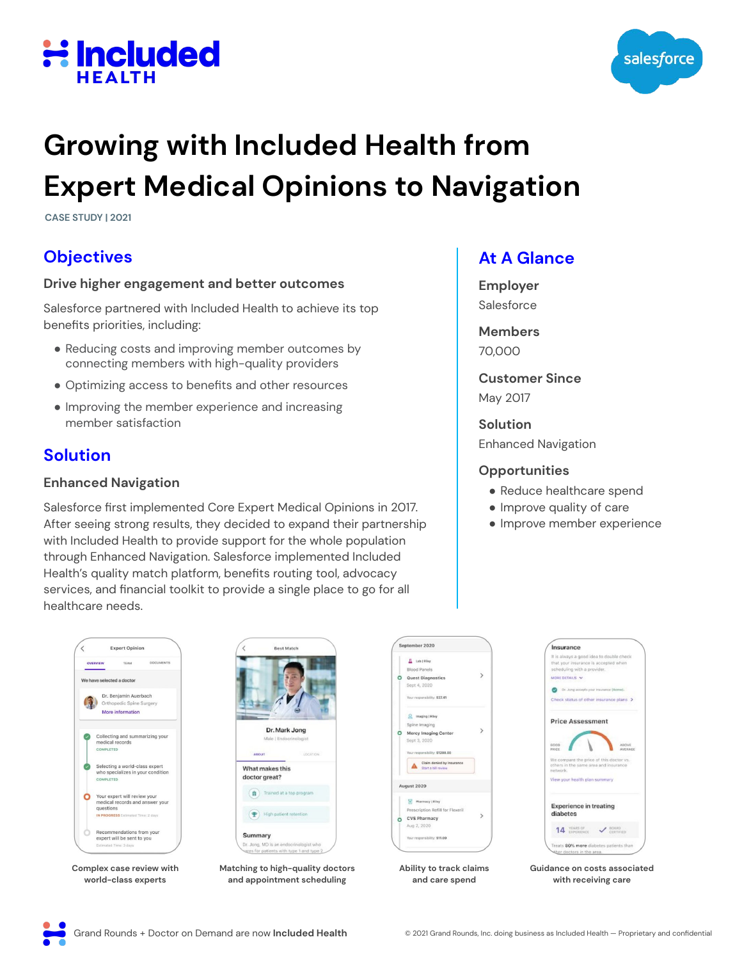



## **Growing with Included Health from Expert Medical Opinions to Navigation**

**CASE STUDY | 2021**

## **Objectives**

#### **Drive higher engagement and better outcomes**

Salesforce partnered with Included Health to achieve its top benefits priorities, including:

- Reducing costs and improving member outcomes by connecting members with high-quality providers
- Optimizing access to benefits and other resources
- Improving the member experience and increasing member satisfaction

### **Solution**

#### **Enhanced Navigation**

Salesforce first implemented Core Expert Medical Opinions in 2017. After seeing strong results, they decided to expand their partnership with Included Health to provide support for the whole population through Enhanced Navigation. Salesforce implemented Included Health's quality match platform, benefits routing tool, advocacy services, and financial toolkit to provide a single place to go for all healthcare needs.

#### **At A Glance**

**Employer** Salesforce

**Members**  70,000

**Customer Since**  May 2017

**Solution** 

Enhanced Navigation

#### **Opportunities**

- Reduce healthcare spend
- Improve quality of care
- Improve member experience





**Guidance on costs associated with receiving care**